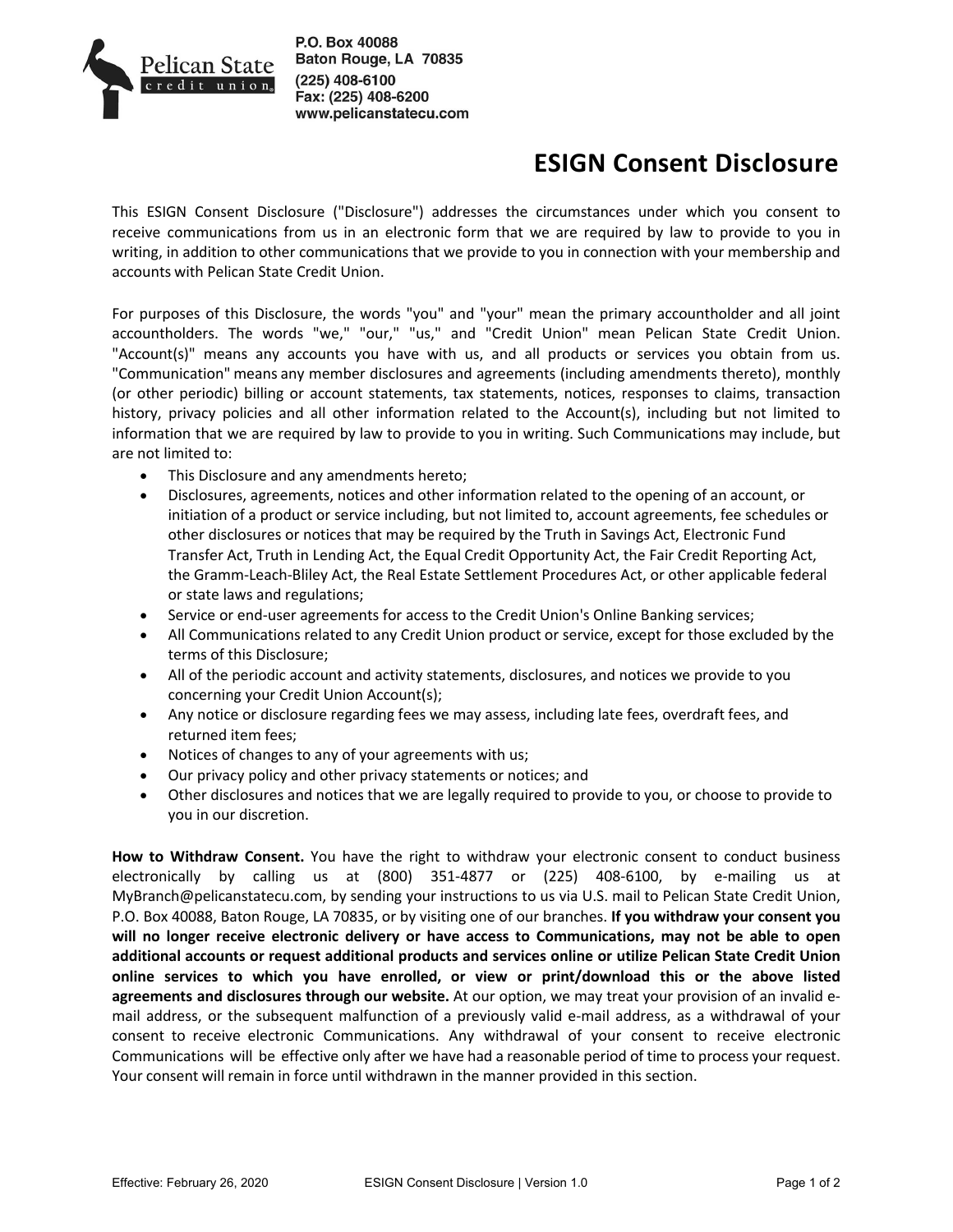

P.O. Box 40088 Baton Rouge, LA 70835 (225) 408-6100 Fax: (225) 408-6200 www.pelicanstatecu.com

## **ESIGN Consent Disclosure**

This ESIGN Consent Disclosure ("Disclosure") addresses the circumstances under which you consent to receive communications from us in an electronic form that we are required by law to provide to you in writing, in addition to other communications that we provide to you in connection with your membership and accounts with Pelican State Credit Union.

For purposes of this Disclosure, the words "you" and "your" mean the primary accountholder and all joint accountholders. The words "we," "our," "us," and "Credit Union" mean Pelican State Credit Union. "Account(s)" means any accounts you have with us, and all products or services you obtain from us. "Communication" means any member disclosures and agreements (including amendments thereto), monthly (or other periodic) billing or account statements, tax statements, notices, responses to claims, transaction history, privacy policies and all other information related to the Account(s), including but not limited to information that we are required by law to provide to you in writing. Such Communications may include, but are not limited to:

- This Disclosure and any amendments hereto;
- Disclosures, agreements, notices and other information related to the opening of an account, or initiation of a product or service including, but not limited to, account agreements, fee schedules or other disclosures or notices that may be required by the Truth in Savings Act, Electronic Fund Transfer Act, Truth in Lending Act, the Equal Credit Opportunity Act, the Fair Credit Reporting Act, the Gramm-Leach-Bliley Act, the Real Estate Settlement Procedures Act, or other applicable federal or state laws and regulations;
- Service or end-user agreements for access to the Credit Union's Online Banking services;
- All Communications related to any Credit Union product or service, except for those excluded by the terms of this Disclosure;
- All of the periodic account and activity statements, disclosures, and notices we provide to you concerning your Credit Union Account(s);
- Any notice or disclosure regarding fees we may assess, including late fees, overdraft fees, and returned item fees;
- Notices of changes to any of your agreements with us;
- Our privacy policy and other privacy statements or notices; and
- Other disclosures and notices that we are legally required to provide to you, or choose to provide to you in our discretion.

**How to Withdraw Consent.** You have the right to withdraw your electronic consent to conduct business electronically by calling us at (800) 351-4877 or (225) 408-6100, by e-mailing us at MyBranch@pelicanstatecu.com, by sending your instructions to us via U.S. mail to Pelican State Credit Union, P.O. Box 40088, Baton Rouge, LA 70835, or by visiting one of our branches. **If you withdraw your consent you will no longer receive electronic delivery or have access to Communications, may not be able to open additional accounts or request additional products and services online or utilize Pelican State Credit Union online services to which you have enrolled, or view or print/download this or the above listed agreements and disclosures through our website.** At our option, we may treat your provision of an invalid email address, or the subsequent malfunction of a previously valid e-mail address, as a withdrawal of your consent to receive electronic Communications. Any withdrawal of your consent to receive electronic Communications will be effective only after we have had a reasonable period of time to process your request. Your consent will remain in force until withdrawn in the manner provided in this section.